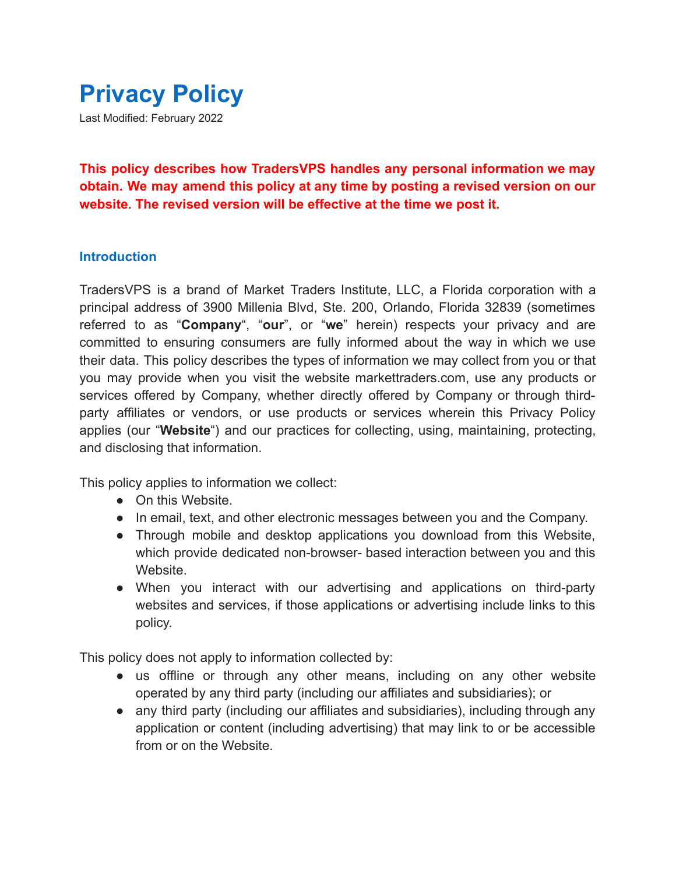

**This policy describes how TradersVPS handles any personal information we may obtain. We may amend this policy at any time by posting a revised version on our website. The revised version will be effective at the time we post it.**

### **Introduction**

TradersVPS is a brand of Market Traders Institute, LLC, a Florida corporation with a principal address of 3900 Millenia Blvd, Ste. 200, Orlando, Florida 32839 (sometimes referred to as "**Company**", "**our**", or "**we**" herein) respects your privacy and are committed to ensuring consumers are fully informed about the way in which we use their data. This policy describes the types of information we may collect from you or that you may provide when you visit the website markettraders.com, use any products or services offered by Company, whether directly offered by Company or through thirdparty affiliates or vendors, or use products or services wherein this Privacy Policy applies (our "**Website**") and our practices for collecting, using, maintaining, protecting, and disclosing that information.

This policy applies to information we collect:

- On this Website.
- In email, text, and other electronic messages between you and the Company.
- Through mobile and desktop applications you download from this Website, which provide dedicated non-browser- based interaction between you and this Website.
- When you interact with our advertising and applications on third-party websites and services, if those applications or advertising include links to this policy.

This policy does not apply to information collected by:

- us offline or through any other means, including on any other website operated by any third party (including our affiliates and subsidiaries); or
- any third party (including our affiliates and subsidiaries), including through any application or content (including advertising) that may link to or be accessible from or on the Website.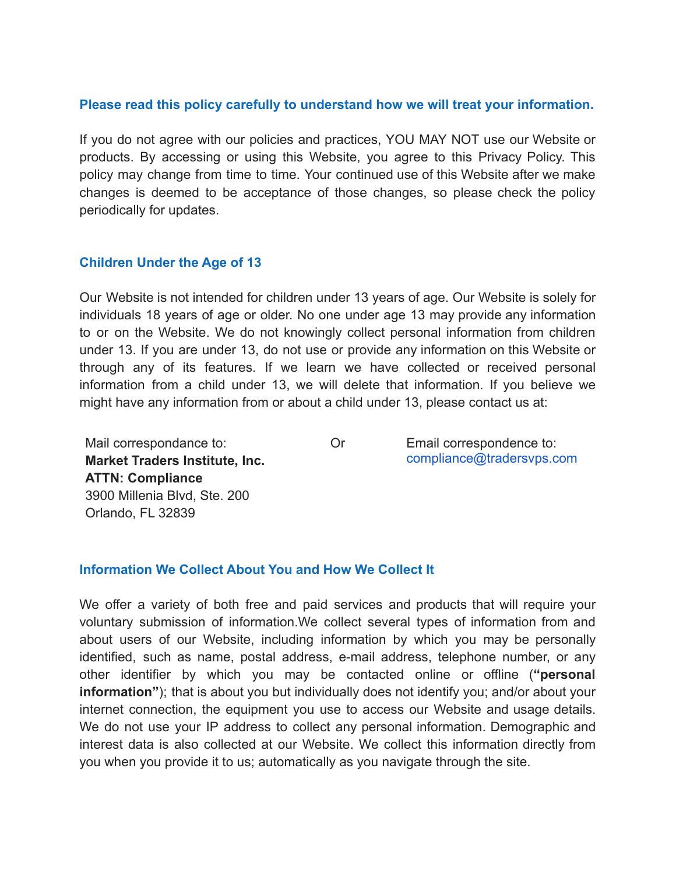### **Please read this policy carefully to understand how we will treat your information.**

If you do not agree with our policies and practices, YOU MAY NOT use our Website or products. By accessing or using this Website, you agree to this Privacy Policy. This policy may change from time to time. Your continued use of this Website after we make changes is deemed to be acceptance of those changes, so please check the policy periodically for updates.

### **Children Under the Age of 13**

Our Website is not intended for children under 13 years of age. Our Website is solely for individuals 18 years of age or older. No one under age 13 may provide any information to or on the Website. We do not knowingly collect personal information from children under 13. If you are under 13, do not use or provide any information on this Website or through any of its features. If we learn we have collected or received personal information from a child under 13, we will delete that information. If you believe we might have any information from or about a child under 13, please contact us at:

Mail correspondance to: **Market Traders Institute, Inc. ATTN: Compliance** 3900 Millenia Blvd, Ste. 200 Orlando, FL 32839

Or Email correspondence to: [compliance@tradersvps.com](mailto:compliance@tradersvps.com)

### **Information We Collect About You and How We Collect It**

We offer a variety of both free and paid services and products that will require your voluntary submission of information.We collect several types of information from and about users of our Website, including information by which you may be personally identified, such as name, postal address, e-mail address, telephone number, or any other identifier by which you may be contacted online or offline (**"personal information"**); that is about you but individually does not identify you; and/or about your internet connection, the equipment you use to access our Website and usage details. We do not use your IP address to collect any personal information. Demographic and interest data is also collected at our Website. We collect this information directly from you when you provide it to us; automatically as you navigate through the site.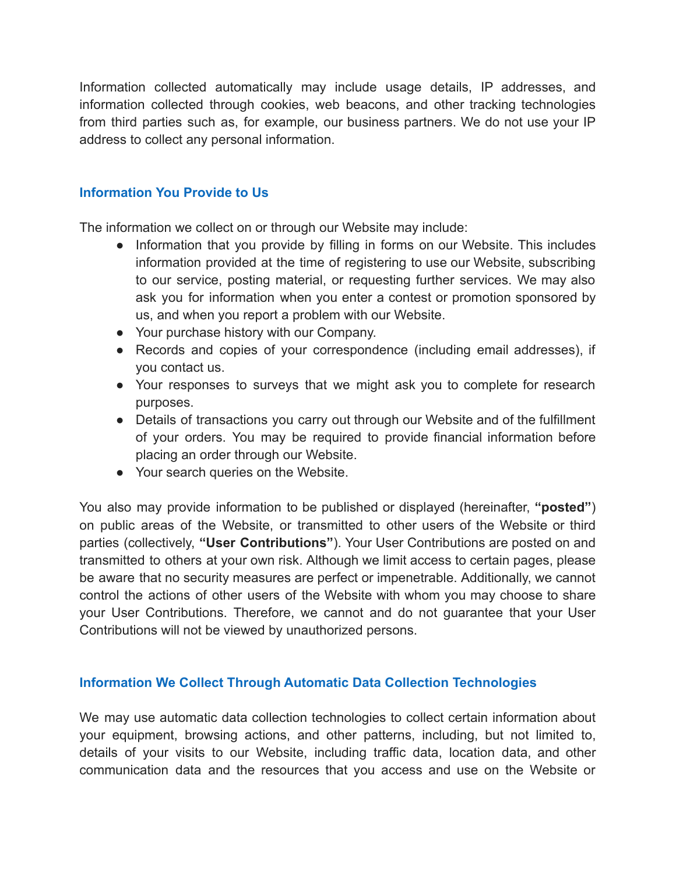Information collected automatically may include usage details, IP addresses, and information collected through cookies, web beacons, and other tracking technologies from third parties such as, for example, our business partners. We do not use your IP address to collect any personal information.

## **Information You Provide to Us**

The information we collect on or through our Website may include:

- Information that you provide by filling in forms on our Website. This includes information provided at the time of registering to use our Website, subscribing to our service, posting material, or requesting further services. We may also ask you for information when you enter a contest or promotion sponsored by us, and when you report a problem with our Website.
- Your purchase history with our Company.
- Records and copies of your correspondence (including email addresses), if you contact us.
- Your responses to surveys that we might ask you to complete for research purposes.
- Details of transactions you carry out through our Website and of the fulfillment of your orders. You may be required to provide financial information before placing an order through our Website.
- Your search queries on the Website.

You also may provide information to be published or displayed (hereinafter, **"posted"**) on public areas of the Website, or transmitted to other users of the Website or third parties (collectively, **"User Contributions"**). Your User Contributions are posted on and transmitted to others at your own risk. Although we limit access to certain pages, please be aware that no security measures are perfect or impenetrable. Additionally, we cannot control the actions of other users of the Website with whom you may choose to share your User Contributions. Therefore, we cannot and do not guarantee that your User Contributions will not be viewed by unauthorized persons.

## **Information We Collect Through Automatic Data Collection Technologies**

We may use automatic data collection technologies to collect certain information about your equipment, browsing actions, and other patterns, including, but not limited to, details of your visits to our Website, including traffic data, location data, and other communication data and the resources that you access and use on the Website or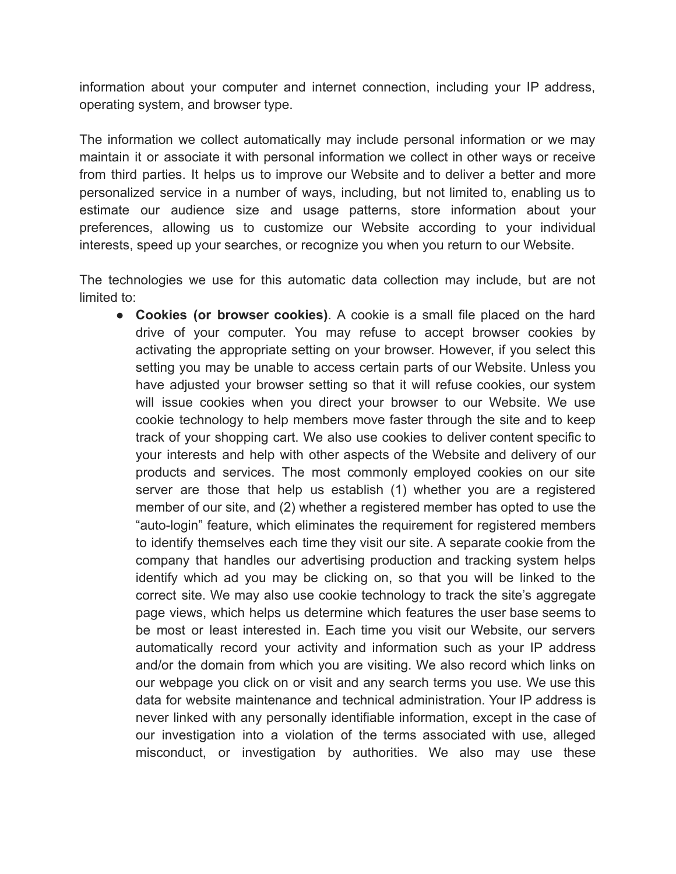information about your computer and internet connection, including your IP address, operating system, and browser type.

The information we collect automatically may include personal information or we may maintain it or associate it with personal information we collect in other ways or receive from third parties. It helps us to improve our Website and to deliver a better and more personalized service in a number of ways, including, but not limited to, enabling us to estimate our audience size and usage patterns, store information about your preferences, allowing us to customize our Website according to your individual interests, speed up your searches, or recognize you when you return to our Website.

The technologies we use for this automatic data collection may include, but are not limited to:

● **Cookies (or browser cookies)**. A cookie is a small file placed on the hard drive of your computer. You may refuse to accept browser cookies by activating the appropriate setting on your browser. However, if you select this setting you may be unable to access certain parts of our Website. Unless you have adjusted your browser setting so that it will refuse cookies, our system will issue cookies when you direct your browser to our Website. We use cookie technology to help members move faster through the site and to keep track of your shopping cart. We also use cookies to deliver content specific to your interests and help with other aspects of the Website and delivery of our products and services. The most commonly employed cookies on our site server are those that help us establish (1) whether you are a registered member of our site, and (2) whether a registered member has opted to use the "auto-login" feature, which eliminates the requirement for registered members to identify themselves each time they visit our site. A separate cookie from the company that handles our advertising production and tracking system helps identify which ad you may be clicking on, so that you will be linked to the correct site. We may also use cookie technology to track the site's aggregate page views, which helps us determine which features the user base seems to be most or least interested in. Each time you visit our Website, our servers automatically record your activity and information such as your IP address and/or the domain from which you are visiting. We also record which links on our webpage you click on or visit and any search terms you use. We use this data for website maintenance and technical administration. Your IP address is never linked with any personally identifiable information, except in the case of our investigation into a violation of the terms associated with use, alleged misconduct, or investigation by authorities. We also may use these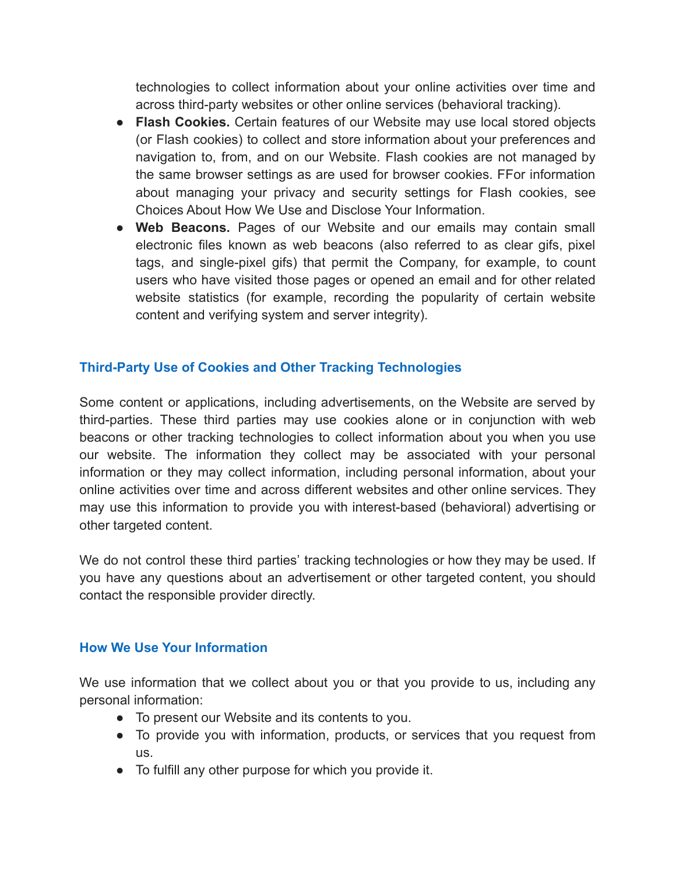technologies to collect information about your online activities over time and across third-party websites or other online services (behavioral tracking).

- **Flash Cookies.** Certain features of our Website may use local stored objects (or Flash cookies) to collect and store information about your preferences and navigation to, from, and on our Website. Flash cookies are not managed by the same browser settings as are used for browser cookies. FFor information about managing your privacy and security settings for Flash cookies, see Choices About How We Use and Disclose Your Information.
- **Web Beacons.** Pages of our Website and our emails may contain small electronic files known as web beacons (also referred to as clear gifs, pixel tags, and single-pixel gifs) that permit the Company, for example, to count users who have visited those pages or opened an email and for other related website statistics (for example, recording the popularity of certain website content and verifying system and server integrity).

## **Third-Party Use of Cookies and Other Tracking Technologies**

Some content or applications, including advertisements, on the Website are served by third-parties. These third parties may use cookies alone or in conjunction with web beacons or other tracking technologies to collect information about you when you use our website. The information they collect may be associated with your personal information or they may collect information, including personal information, about your online activities over time and across different websites and other online services. They may use this information to provide you with interest-based (behavioral) advertising or other targeted content.

We do not control these third parties' tracking technologies or how they may be used. If you have any questions about an advertisement or other targeted content, you should contact the responsible provider directly.

## **How We Use Your Information**

We use information that we collect about you or that you provide to us, including any personal information:

- To present our Website and its contents to you.
- To provide you with information, products, or services that you request from us.
- To fulfill any other purpose for which you provide it.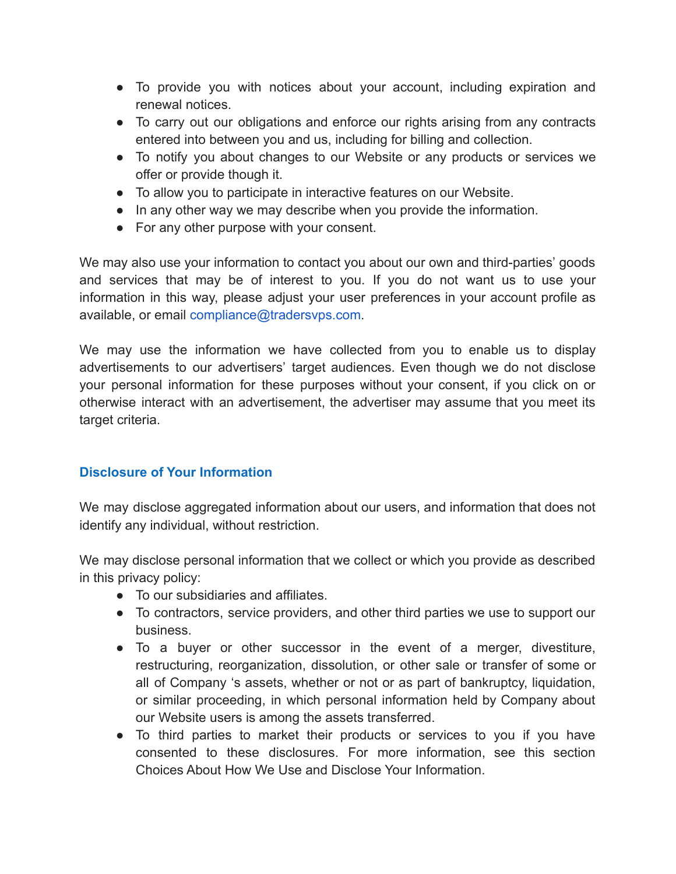- To provide you with notices about your account, including expiration and renewal notices.
- To carry out our obligations and enforce our rights arising from any contracts entered into between you and us, including for billing and collection.
- To notify you about changes to our Website or any products or services we offer or provide though it.
- To allow you to participate in interactive features on our Website.
- In any other way we may describe when you provide the information.
- For any other purpose with your consent.

We may also use your information to contact you about our own and third-parties' goods and services that may be of interest to you. If you do not want us to use your information in this way, please adjust your user preferences in your account profile as available, or email [compliance@tradersvps.com.](mailto:compliance@tradersvps.com)

We may use the information we have collected from you to enable us to display advertisements to our advertisers' target audiences. Even though we do not disclose your personal information for these purposes without your consent, if you click on or otherwise interact with an advertisement, the advertiser may assume that you meet its target criteria.

# **Disclosure of Your Information**

We may disclose aggregated information about our users, and information that does not identify any individual, without restriction.

We may disclose personal information that we collect or which you provide as described in this privacy policy:

- To our subsidiaries and affiliates.
- To contractors, service providers, and other third parties we use to support our business.
- To a buyer or other successor in the event of a merger, divestiture, restructuring, reorganization, dissolution, or other sale or transfer of some or all of Company 's assets, whether or not or as part of bankruptcy, liquidation, or similar proceeding, in which personal information held by Company about our Website users is among the assets transferred.
- To third parties to market their products or services to you if you have consented to these disclosures. For more information, see this section Choices About How We Use and Disclose Your Information.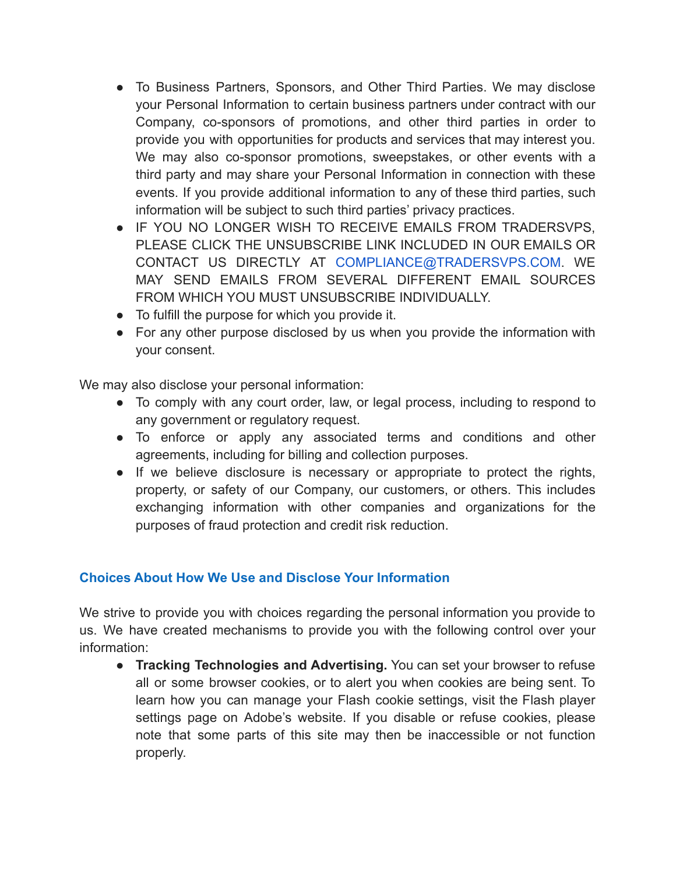- To Business Partners, Sponsors, and Other Third Parties. We may disclose your Personal Information to certain business partners under contract with our Company, co-sponsors of promotions, and other third parties in order to provide you with opportunities for products and services that may interest you. We may also co-sponsor promotions, sweepstakes, or other events with a third party and may share your Personal Information in connection with these events. If you provide additional information to any of these third parties, such information will be subject to such third parties' privacy practices.
- **IF YOU NO LONGER WISH TO RECEIVE EMAILS FROM TRADERSVPS.** PLEASE CLICK THE UNSUBSCRIBE LINK INCLUDED IN OUR EMAILS OR CONTACT US DIRECTLY AT [COMPLIANCE@TRADERSVPS.COM](mailto:COMPLIANCE@TRADERSVPS.COM). WE MAY SEND EMAILS FROM SEVERAL DIFFERENT EMAIL SOURCES FROM WHICH YOU MUST UNSUBSCRIBE INDIVIDUALLY.
- To fulfill the purpose for which you provide it.
- For any other purpose disclosed by us when you provide the information with your consent.

We may also disclose your personal information:

- To comply with any court order, law, or legal process, including to respond to any government or regulatory request.
- To enforce or apply any associated terms and conditions and other agreements, including for billing and collection purposes.
- If we believe disclosure is necessary or appropriate to protect the rights, property, or safety of our Company, our customers, or others. This includes exchanging information with other companies and organizations for the purposes of fraud protection and credit risk reduction.

## **Choices About How We Use and Disclose Your Information**

We strive to provide you with choices regarding the personal information you provide to us. We have created mechanisms to provide you with the following control over your information:

● **Tracking Technologies and Advertising.** You can set your browser to refuse all or some browser cookies, or to alert you when cookies are being sent. To learn how you can manage your Flash cookie settings, visit the Flash player settings page on Adobe's website. If you disable or refuse cookies, please note that some parts of this site may then be inaccessible or not function properly.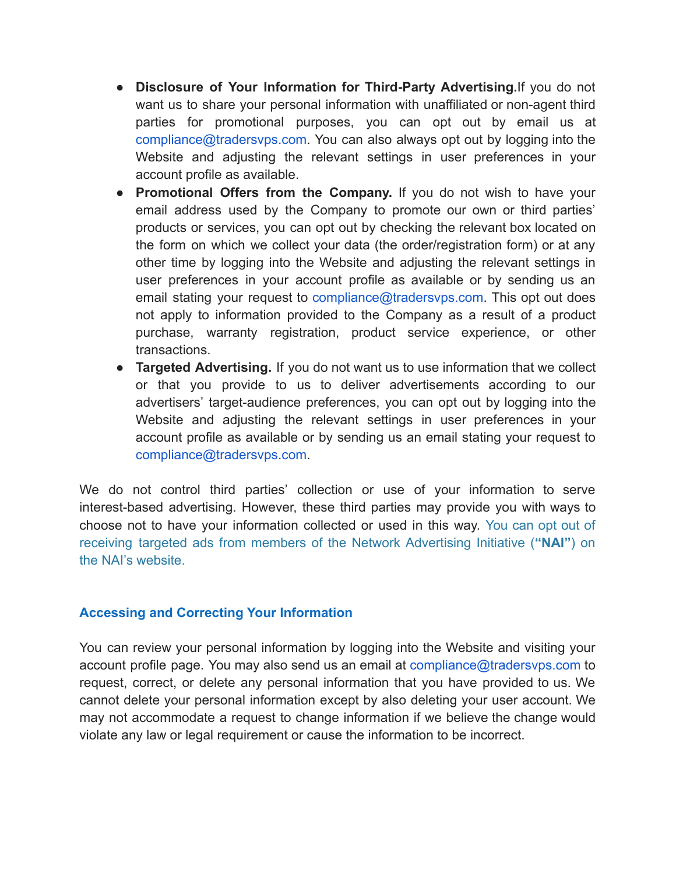- **Disclosure of Your Information for Third-Party Advertising.**If you do not want us to share your personal information with unaffiliated or non-agent third parties for promotional purposes, you can opt out by email us at [compliance@tradersvps.com.](mailto:compliance@tradersvps.com) You can also always opt out by logging into the Website and adjusting the relevant settings in user preferences in your account profile as available.
- **Promotional Offers from the Company.** If you do not wish to have your email address used by the Company to promote our own or third parties' products or services, you can opt out by checking the relevant box located on the form on which we collect your data (the order/registration form) or at any other time by logging into the Website and adjusting the relevant settings in user preferences in your account profile as available or by sending us an email stating your request to [compliance@tradersvps.com.](mailto:compliance@tradersvps.com) This opt out does not apply to information provided to the Company as a result of a product purchase, warranty registration, product service experience, or other transactions.
- **Targeted Advertising.** If you do not want us to use information that we collect or that you provide to us to deliver advertisements according to our advertisers' target-audience preferences, you can opt out by logging into the Website and adjusting the relevant settings in user preferences in your account profile as available or by sending us an email stating your request to [compliance@tradersvps.com.](mailto:compliance@tradersvps.com)

We do not control third parties' collection or use of your information to serve interest-based advertising. However, these third parties may provide you with ways to choose not to have your information collected or used in this way. [You](http://optout.networkadvertising.org/?c=1#!/) can opt out of receiving targeted ads from members of the Network [Advertising](http://optout.networkadvertising.org/?c=1#!/) Initiative (**"NAI"**) on [the NAI's website.](http://optout.networkadvertising.org/?c=1#!/)

### **Accessing and Correcting Your Information**

You can review your personal information by logging into the Website and visiting your account profile page. You may also send us an email at [compliance@tradersvps.com](mailto:compliance@tradersvps.com) to request, correct, or delete any personal information that you have provided to us. We cannot delete your personal information except by also deleting your user account. We may not accommodate a request to change information if we believe the change would violate any law or legal requirement or cause the information to be incorrect.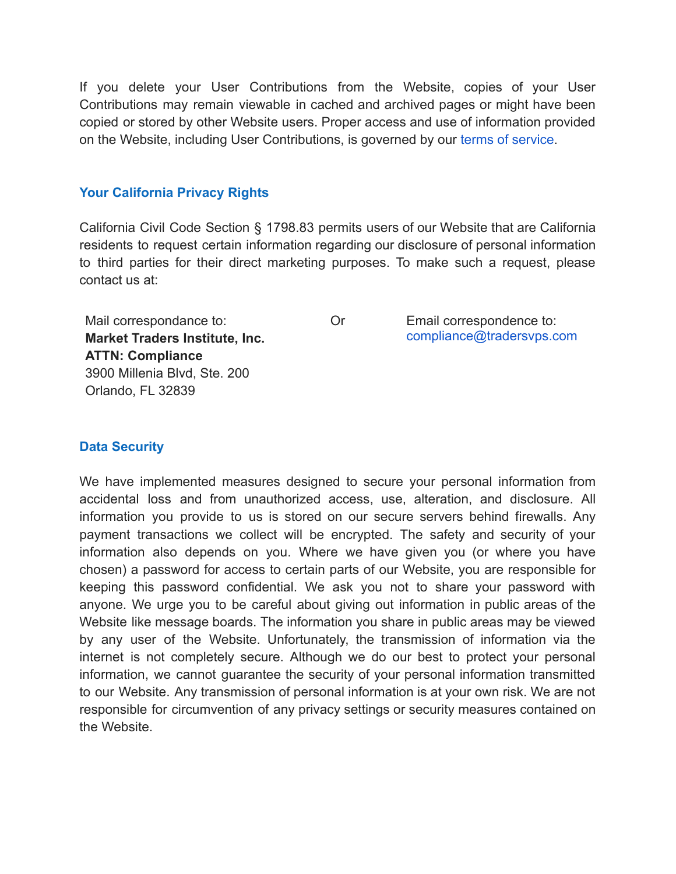If you delete your User Contributions from the Website, copies of your User Contributions may remain viewable in cached and archived pages or might have been copied or stored by other Website users. Proper access and use of information provided on the Website, including User Contributions, is governed by our [terms of service.](https://tradersvps.com/terms)

### **Your California Privacy Rights**

California Civil Code Section § 1798.83 permits users of our Website that are California residents to request certain information regarding our disclosure of personal information to third parties for their direct marketing purposes. To make such a request, please contact us at:

Mail correspondance to: **Market Traders Institute, Inc. ATTN: Compliance** 3900 Millenia Blvd, Ste. 200 Orlando, FL 32839

Or Email correspondence to: [compliance@tradersvps.com](mailto:compliance@tradersvps.com)

### **Data Security**

We have implemented measures designed to secure your personal information from accidental loss and from unauthorized access, use, alteration, and disclosure. All information you provide to us is stored on our secure servers behind firewalls. Any payment transactions we collect will be encrypted. The safety and security of your information also depends on you. Where we have given you (or where you have chosen) a password for access to certain parts of our Website, you are responsible for keeping this password confidential. We ask you not to share your password with anyone. We urge you to be careful about giving out information in public areas of the Website like message boards. The information you share in public areas may be viewed by any user of the Website. Unfortunately, the transmission of information via the internet is not completely secure. Although we do our best to protect your personal information, we cannot guarantee the security of your personal information transmitted to our Website. Any transmission of personal information is at your own risk. We are not responsible for circumvention of any privacy settings or security measures contained on the Website.